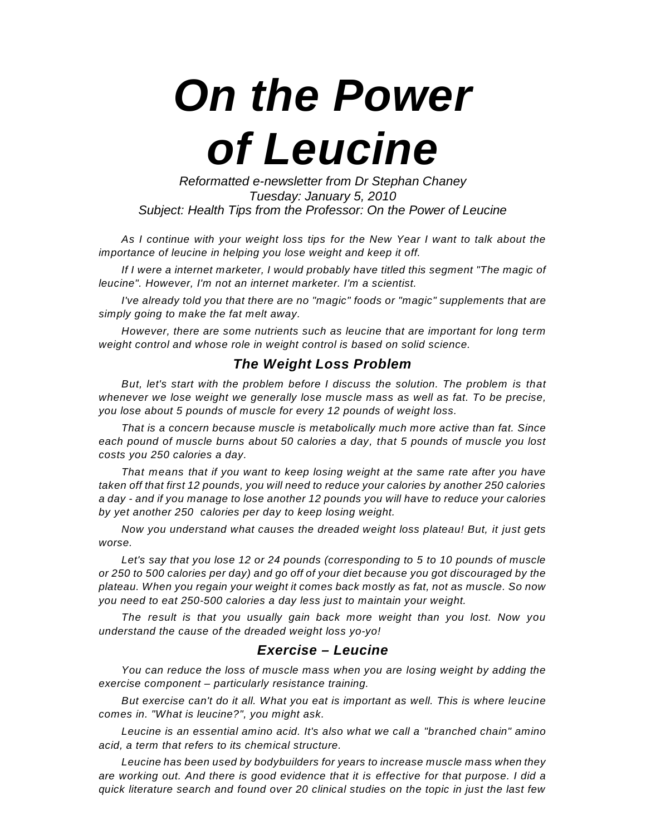*On the Power of Leucine*

*Reformatted e-newsletter from Dr Stephan Chaney Tuesday: January 5, 2010 Subject: Health Tips from the Professor: On the Power of Leucine*

*As I continue with your weight loss tips for the New Year I want to talk about the importance of leucine in helping you lose weight and keep it off.*

*If I were a internet marketer, I would probably have titled this segment "The magic of leucine". However, I'm not an internet marketer. I'm a scientist.*

*I've already told you that there are no "magic" foods or "magic" supplements that are simply going to make the fat melt away.*

*However, there are some nutrients such as leucine that are important for long term weight control and whose role in weight control is based on solid science.*

## *The Weight Loss Problem*

*But, let's start with the problem before I discuss the solution. The problem is that whenever we lose weight we generally lose muscle mass as well as fat. To be precise, you lose about 5 pounds of muscle for every 12 pounds of weight loss.*

*That is a concern because muscle is metabolically much more active than fat. Since each pound of muscle burns about 50 calories a day, that 5 pounds of muscle you lost costs you 250 calories a day.*

*That means that if you want to keep losing weight at the same rate after you have taken off that first 12 pounds, you will need to reduce your calories by another 250 calories a day - and if you manage to lose another 12 pounds you will have to reduce your calories by yet another 250 calories per day to keep losing weight.*

*Now you understand what causes the dreaded weight loss plateau! But, it just gets worse.*

*Let's say that you lose 12 or 24 pounds (corresponding to 5 to 10 pounds of muscle or 250 to 500 calories per day) and go off of your diet because you got discouraged by the plateau. When you regain your weight it comes back mostly as fat, not as muscle. So now you need to eat 250-500 calories a day less just to maintain your weight.*

*The result is that you usually gain back more weight than you lost. Now you understand the cause of the dreaded weight loss yo-yo!*

## *Exercise – Leucine*

*You can reduce the loss of muscle mass when you are losing weight by adding the exercise component – particularly resistance training.*

*But exercise can't do it all. What you eat is important as well. This is where leucine comes in. "What is leucine?", you might ask.*

*Leucine is an essential amino acid. It's also what we call a "branched chain" amino acid, a term that refers to its chemical structure.*

*Leucine has been used by bodybuilders for years to increase muscle mass when they are working out. And there is good evidence that it is effective for that purpose. I did a quick literature search and found over 20 clinical studies on the topic in just the last few*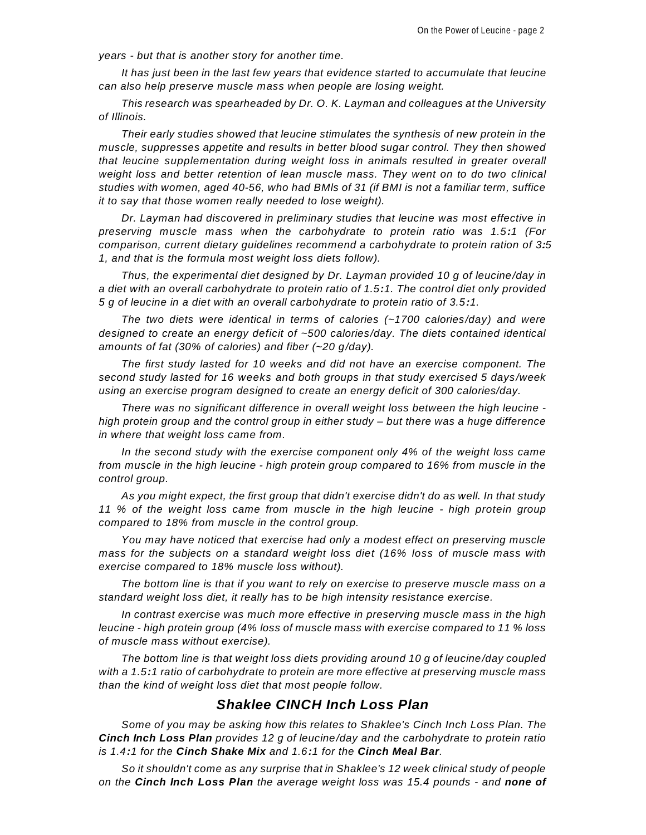*years - but that is another story for another time.*

*It has just been in the last few years that evidence started to accumulate that leucine can also help preserve muscle mass when people are losing weight.*

*This research was spearheaded by Dr. O. K. Layman and colleagues at the University of Illinois.*

*Their early studies showed that leucine stimulates the synthesis of new protein in the muscle, suppresses appetite and results in better blood sugar control. They then showed that leucine supplementation during weight loss in animals resulted in greater overall weight loss and better retention of lean muscle mass. They went on to do two clinical studies with women, aged 40-56, who had BMls of 31 (if BMI is not a familiar term, suffice it to say that those women really needed to lose weight).*

*Dr. Layman had discovered in preliminary studies that leucine was most effective in preserving muscle mass when the carbohydrate to protein ratio was 1.5:1 (For comparison, current dietary guidelines recommend a carbohydrate to protein ration of 3.:5 1, and that is the formula most weight loss diets follow).*

*Thus, the experimental diet designed by Dr. Layman provided 10 g of leucine/day in a diet with an overall carbohydrate to protein ratio of 1.5:1. The control diet only provided 5 g of leucine in a diet with an overall carbohydrate to protein ratio of 3.5:1.*

*The two diets were identical in terms of calories (~1700 calories/day) and were designed to create an energy deficit of ~500 calories/day. The diets contained identical amounts of fat (30% of calories) and fiber (~20 g/day).*

*The first study lasted for 10 weeks and did not have an exercise component. The second study lasted for 16 weeks and both groups in that study exercised 5 days /week using an exercise program designed to create an energy deficit of 300 calories/day.*

*There was no significant difference in overall weight loss between the high leucine high protein group and the control group in either study – but there was a huge difference in where that weight loss came from.*

*In the second study with the exercise component only 4% of the weight loss came from muscle in the high leucine - high protein group compared to 16% from muscle in the control group.*

*As you might expect, the first group that didn't exercise didn't do as well. In that study 11 % of the weight loss came from muscle in the high leucine - high protein group compared to 18% from muscle in the control group.*

*You may have noticed that exercise had only a modest effect on preserving muscle mass for the subjects on a standard weight loss diet (16% loss of muscle mass with exercise compared to 18% muscle loss without).*

*The bottom line is that if you want to rely on exercise to preserve muscle mass on a standard weight loss diet, it really has to be high intensity resistance exercise.*

*In contrast exercise was much more effective in preserving muscle mass in the high leucine - high protein group (4% loss of muscle mass with exercise compared to 11 % loss of muscle mass without exercise).*

*The bottom line is that weight loss diets providing around 10 g of leucine/day coupled with a 1.5:1 ratio of carbohydrate to protein are more effective at preserving muscle mass than the kind of weight loss diet that most people follow.*

## *Shaklee CINCH Inch Loss Plan*

*Some of you may be asking how this relates to Shaklee's Cinch Inch Loss Plan. The Cinch Inch Loss Plan provides 12 g of leucine/day and the carbohydrate to protein ratio is 1.4:1 for the Cinch Shake Mix and 1.6:1 for the Cinch Meal Bar.*

*So it shouldn't come as any surprise that in Shaklee's 12 week clinical study of people on the Cinch Inch Loss Plan the average weight loss was 15.4 pounds - and none of*